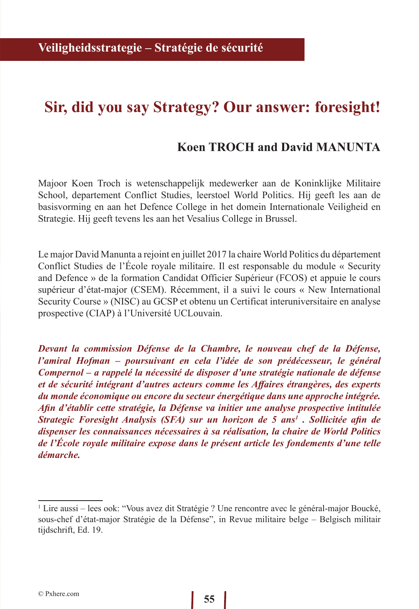## **Sir, did you say Strategy? Our answer: foresight!**

## **Koen TROCH and David MANUNTA**

Majoor Koen Troch is wetenschappelijk medewerker aan de Koninklijke Militaire School, departement Conflict Studies, leerstoel World Politics. Hij geeft les aan de basisvorming en aan het Defence College in het domein Internationale Veiligheid en Strategie. Hij geeft tevens les aan het Vesalius College in Brussel.

Le major David Manunta a rejoint en juillet 2017 la chaire World Politics du département Conflict Studies de l'École royale militaire. Il est responsable du module « Security and Defence » de la formation Candidat Officier Supérieur (FCOS) et appuie le cours supérieur d'état-major (CSEM). Récemment, il a suivi le cours « New International Security Course » (NISC) au GCSP et obtenu un Certificat interuniversitaire en analyse prospective (CIAP) à l'Université UCLouvain.

*Devant la commission Défense de la Chambre, le nouveau chef de la Défense, l'amiral Hofman – poursuivant en cela l'idée de son prédécesseur, le général Compernol – a rappelé la nécessité de disposer d'une stratégie nationale de défense et de sécurité intégrant d'autres acteurs comme les Affaires étrangères, des experts du monde économique ou encore du secteur énergétique dans une approche intégrée. Afin d'établir cette stratégie, la Défense va initier une analyse prospective intitulée Strategic Foresight Analysis (SFA) sur un horizon de 5 ans1 . Sollicitée afin de dispenser les connaissances nécessaires à sa réalisation, la chaire de World Politics de l'École royale militaire expose dans le présent article les fondements d'une telle démarche.*

<sup>1</sup> Lire aussi – lees ook: "Vous avez dit Stratégie ? Une rencontre avec le général-major Boucké, sous-chef d'état-major Stratégie de la Défense", in Revue militaire belge – Belgisch militair tijdschrift, Ed. 19.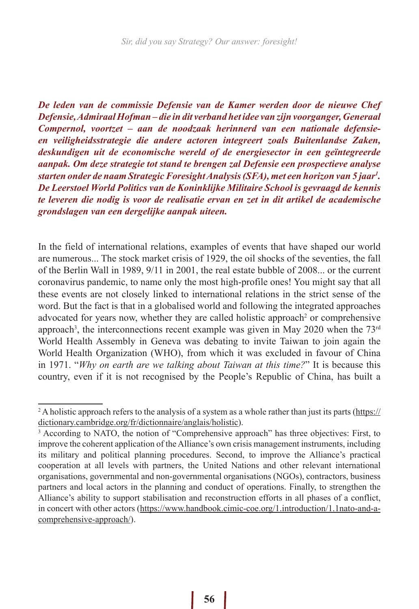*De leden van de commissie Defensie van de Kamer werden door de nieuwe Chef Defensie, Admiraal Hofman – die in dit verband het idee van zijn voorganger, Generaal Compernol, voortzet – aan de noodzaak herinnerd van een nationale defensieen veiligheidsstrategie die andere actoren integreert zoals Buitenlandse Zaken, deskundigen uit de economische wereld of de energiesector in een geïntegreerde aanpak. Om deze strategie tot stand te brengen zal Defensie een prospectieve analyse starten onder de naam Strategic Foresight Analysis (SFA), met een horizon van 5 jaar1 . De Leerstoel World Politics van de Koninklijke Militaire School is gevraagd de kennis te leveren die nodig is voor de realisatie ervan en zet in dit artikel de academische grondslagen van een dergelijke aanpak uiteen.*

In the field of international relations, examples of events that have shaped our world are numerous... The stock market crisis of 1929, the oil shocks of the seventies, the fall of the Berlin Wall in 1989, 9/11 in 2001, the real estate bubble of 2008... or the current coronavirus pandemic, to name only the most high-profile ones! You might say that all these events are not closely linked to international relations in the strict sense of the word. But the fact is that in a globalised world and following the integrated approaches advocated for years now, whether they are called holistic approach<sup>2</sup> or comprehensive approach<sup>3</sup>, the interconnections recent example was given in May 2020 when the 73<sup>rd</sup> World Health Assembly in Geneva was debating to invite Taiwan to join again the World Health Organization (WHO), from which it was excluded in favour of China in 1971. "*Why on earth are we talking about Taiwan at this time?*" It is because this country, even if it is not recognised by the People's Republic of China, has built a

<sup>&</sup>lt;sup>2</sup> A holistic approach refers to the analysis of a system as a whole rather than just its parts ( $\frac{https://}{https://}$ dictionary.cambridge.org/fr/dictionnaire/anglais/holistic).

<sup>&</sup>lt;sup>3</sup> According to NATO, the notion of "Comprehensive approach" has three objectives: First, to improve the coherent application of the Alliance's own crisis management instruments, including its military and political planning procedures. Second, to improve the Alliance's practical cooperation at all levels with partners, the United Nations and other relevant international organisations, governmental and non-governmental organisations (NGOs), contractors, business partners and local actors in the planning and conduct of operations. Finally, to strengthen the Alliance's ability to support stabilisation and reconstruction efforts in all phases of a conflict, in concert with other actors (https://www.handbook.cimic-coe.org/1.introduction/1.1nato-and-acomprehensive-approach/).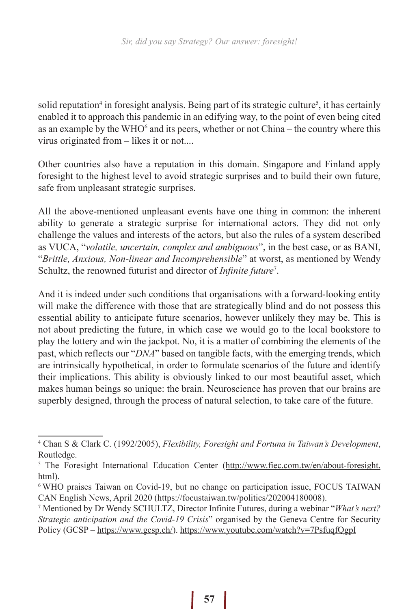solid reputation<sup>4</sup> in foresight analysis. Being part of its strategic culture<sup>5</sup>, it has certainly enabled it to approach this pandemic in an edifying way, to the point of even being cited as an example by the WHO $^6$  and its peers, whether or not China – the country where this virus originated from – likes it or not....

Other countries also have a reputation in this domain. Singapore and Finland apply foresight to the highest level to avoid strategic surprises and to build their own future, safe from unpleasant strategic surprises.

All the above-mentioned unpleasant events have one thing in common: the inherent ability to generate a strategic surprise for international actors. They did not only challenge the values and interests of the actors, but also the rules of a system described as VUCA, "*volatile, uncertain, complex and ambiguous*", in the best case, or as BANI, "*Brittle, Anxious, Non-linear and Incomprehensible*" at worst, as mentioned by Wendy Schultz, the renowned futurist and director of *Infinite future*<sup>7</sup> .

And it is indeed under such conditions that organisations with a forward-looking entity will make the difference with those that are strategically blind and do not possess this essential ability to anticipate future scenarios, however unlikely they may be. This is not about predicting the future, in which case we would go to the local bookstore to play the lottery and win the jackpot. No, it is a matter of combining the elements of the past, which reflects our "*DNA*" based on tangible facts, with the emerging trends, which are intrinsically hypothetical, in order to formulate scenarios of the future and identify their implications. This ability is obviously linked to our most beautiful asset, which makes human beings so unique: the brain. Neuroscience has proven that our brains are superbly designed, through the process of natural selection, to take care of the future.

<sup>4</sup> Chan S & Clark C. (1992/2005), *Flexibility, Foresight and Fortuna in Taiwan's Development*, Routledge.

<sup>&</sup>lt;sup>5</sup> The Foresight International Education Center (http://www.fiec.com.tw/en/about-foresight. html).

<sup>6</sup> WHO praises Taiwan on Covid-19, but no change on participation issue, FOCUS TAIWAN CAN English News, April 2020 (https://focustaiwan.tw/politics/202004180008).

<sup>7</sup> Mentioned by Dr Wendy SCHULTZ, Director Infinite Futures, during a webinar "*What's next? Strategic anticipation and the Covid-19 Crisis*" organised by the Geneva Centre for Security Policy (GCSP – https://www.gcsp.ch/). https://www.youtube.com/watch?v=7PsfuqfQgpI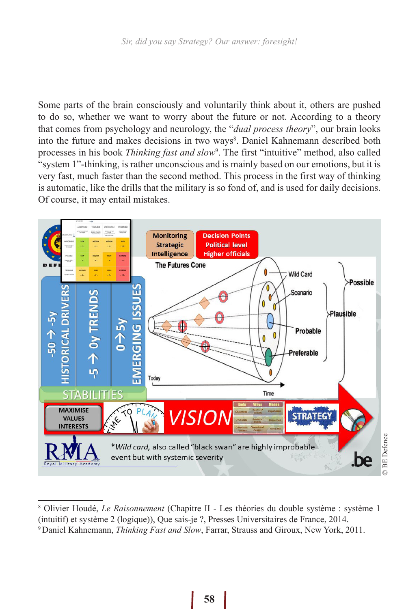Some parts of the brain consciously and voluntarily think about it, others are pushed to do so, whether we want to worry about the future or not. According to a theory that comes from psychology and neurology, the "*dual process theory*", our brain looks into the future and makes decisions in two ways<sup>8</sup>. Daniel Kahnemann described both processes in his book *Thinking fast and slow*<sup>9</sup>. The first "intuitive" method, also called "system 1"-thinking, is rather unconscious and is mainly based on our emotions, but it is very fast, much faster than the second method. This process in the first way of thinking is automatic, like the drills that the military is so fond of, and is used for daily decisions. Of course, it may entail mistakes.



<sup>8</sup> Olivier Houdé, *Le Raisonnement* (Chapitre II - Les théories du double système : système 1 (intuitif) et système 2 (logique)), Que sais-je ?, Presses Universitaires de France, 2014.

<sup>9</sup> Daniel Kahnemann, *Thinking Fast and Slow*, Farrar, Strauss and Giroux, New York, 2011.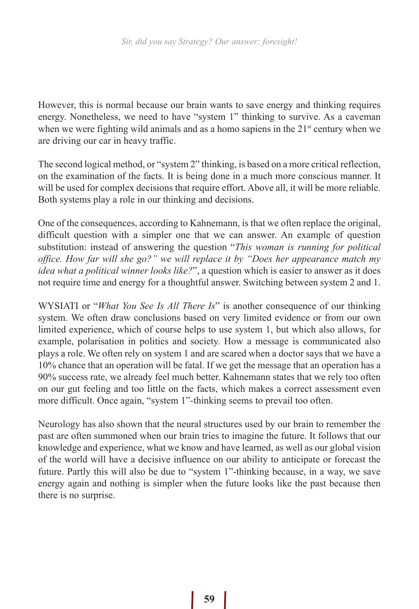However, this is normal because our brain wants to save energy and thinking requires energy. Nonetheless, we need to have "system 1" thinking to survive. As a caveman when we were fighting wild animals and as a homo sapiens in the  $21<sup>st</sup>$  century when we are driving our car in heavy traffic.

The second logical method, or "system 2" thinking, is based on a more critical reflection, on the examination of the facts. It is being done in a much more conscious manner. It will be used for complex decisions that require effort. Above all, it will be more reliable. Both systems play a role in our thinking and decisions.

One of the consequences, according to Kahnemann, is that we often replace the original, difficult question with a simpler one that we can answer. An example of question substitution: instead of answering the question "*This woman is running for political office. How far will she go?" we will replace it by "Does her appearance match my idea what a political winner looks like?*", a question which is easier to answer as it does not require time and energy for a thoughtful answer. Switching between system 2 and 1.

WYSIATI or "*What You See Is All There Is*" is another consequence of our thinking system. We often draw conclusions based on very limited evidence or from our own limited experience, which of course helps to use system 1, but which also allows, for example, polarisation in politics and society. How a message is communicated also plays a role. We often rely on system 1 and are scared when a doctor says that we have a 10% chance that an operation will be fatal. If we get the message that an operation has a 90% success rate, we already feel much better. Kahnemann states that we rely too often on our gut feeling and too little on the facts, which makes a correct assessment even more difficult. Once again, "system 1"-thinking seems to prevail too often.

Neurology has also shown that the neural structures used by our brain to remember the past are often summoned when our brain tries to imagine the future. It follows that our knowledge and experience, what we know and have learned, as well as our global vision of the world will have a decisive influence on our ability to anticipate or forecast the future. Partly this will also be due to "system 1"-thinking because, in a way, we save energy again and nothing is simpler when the future looks like the past because then there is no surprise.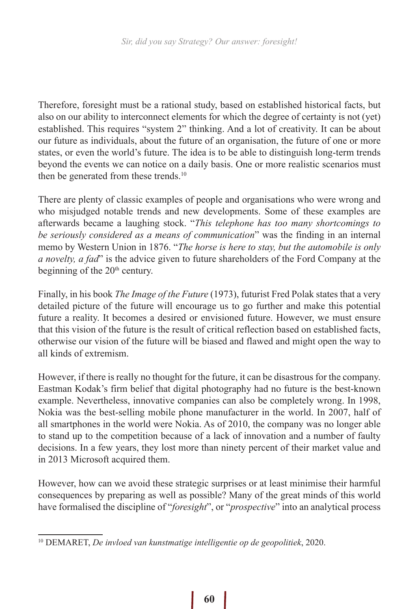Therefore, foresight must be a rational study, based on established historical facts, but also on our ability to interconnect elements for which the degree of certainty is not (yet) established. This requires "system 2" thinking. And a lot of creativity. It can be about our future as individuals, about the future of an organisation, the future of one or more states, or even the world's future. The idea is to be able to distinguish long-term trends beyond the events we can notice on a daily basis. One or more realistic scenarios must then be generated from these trends.<sup>10</sup>

There are plenty of classic examples of people and organisations who were wrong and who misjudged notable trends and new developments. Some of these examples are afterwards became a laughing stock. "*This telephone has too many shortcomings to be seriously considered as a means of communication*" was the finding in an internal memo by Western Union in 1876. "*The horse is here to stay, but the automobile is only a novelty, a fad*" is the advice given to future shareholders of the Ford Company at the beginning of the  $20<sup>th</sup>$  century.

Finally, in his book *The Image of the Future* (1973), futurist Fred Polak states that a very detailed picture of the future will encourage us to go further and make this potential future a reality. It becomes a desired or envisioned future. However, we must ensure that this vision of the future is the result of critical reflection based on established facts, otherwise our vision of the future will be biased and flawed and might open the way to all kinds of extremism.

However, if there is really no thought for the future, it can be disastrous for the company. Eastman Kodak's firm belief that digital photography had no future is the best-known example. Nevertheless, innovative companies can also be completely wrong. In 1998, Nokia was the best-selling mobile phone manufacturer in the world. In 2007, half of all smartphones in the world were Nokia. As of 2010, the company was no longer able to stand up to the competition because of a lack of innovation and a number of faulty decisions. In a few years, they lost more than ninety percent of their market value and in 2013 Microsoft acquired them.

However, how can we avoid these strategic surprises or at least minimise their harmful consequences by preparing as well as possible? Many of the great minds of this world have formalised the discipline of "*foresight*", or "*prospective*" into an analytical process

<sup>10</sup> DEMARET, *De invloed van kunstmatige intelligentie op de geopolitiek*, 2020.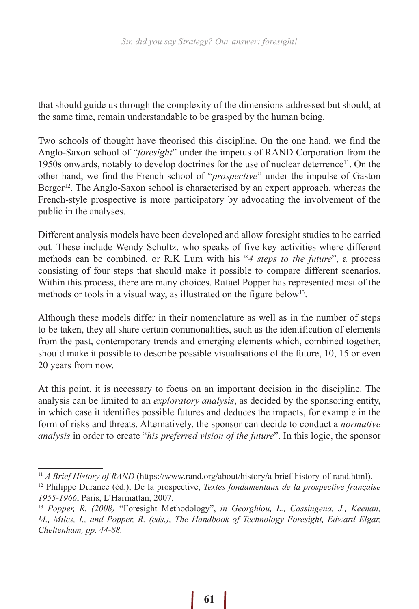that should guide us through the complexity of the dimensions addressed but should, at the same time, remain understandable to be grasped by the human being.

Two schools of thought have theorised this discipline. On the one hand, we find the Anglo-Saxon school of "*foresight*" under the impetus of RAND Corporation from the 1950s onwards, notably to develop doctrines for the use of nuclear deterrence<sup>11</sup>. On the other hand, we find the French school of "*prospective*" under the impulse of Gaston Berger<sup>12</sup>. The Anglo-Saxon school is characterised by an expert approach, whereas the French-style prospective is more participatory by advocating the involvement of the public in the analyses.

Different analysis models have been developed and allow foresight studies to be carried out. These include Wendy Schultz, who speaks of five key activities where different methods can be combined, or R.K Lum with his "*4 steps to the future*", a process consisting of four steps that should make it possible to compare different scenarios. Within this process, there are many choices. Rafael Popper has represented most of the methods or tools in a visual way, as illustrated on the figure below<sup>13</sup>.

Although these models differ in their nomenclature as well as in the number of steps to be taken, they all share certain commonalities, such as the identification of elements from the past, contemporary trends and emerging elements which, combined together, should make it possible to describe possible visualisations of the future, 10, 15 or even 20 years from now.

At this point, it is necessary to focus on an important decision in the discipline. The analysis can be limited to an *exploratory analysis*, as decided by the sponsoring entity, in which case it identifies possible futures and deduces the impacts, for example in the form of risks and threats. Alternatively, the sponsor can decide to conduct a *normative analysis* in order to create "*his preferred vision of the future*". In this logic, the sponsor

<sup>&</sup>lt;sup>11</sup> A Brief History of RAND (https://www.rand.org/about/history/a-brief-history-of-rand.html).

<sup>12</sup> Philippe Durance (éd.), De la prospective, *Textes fondamentaux de la prospective française 1955-1966*, Paris, L'Harmattan, 2007.

<sup>13</sup> *Popper, R. (2008)* "Foresight Methodology", *in Georghiou, L., Cassingena, J., Keenan, M., Miles, I., and Popper, R. (eds.), The Handbook of Technology Foresight, Edward Elgar, Cheltenham, pp. 44-88.*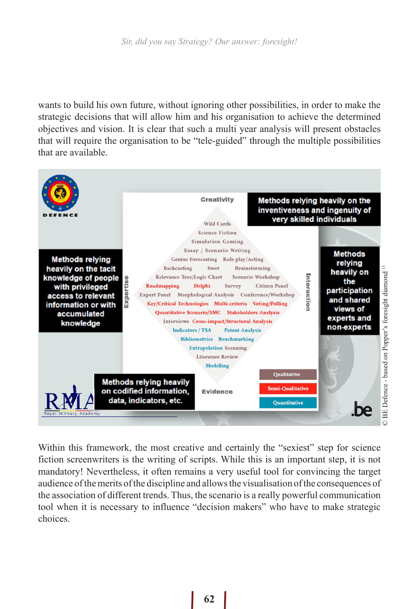wants to build his own future, without ignoring other possibilities, in order to make the strategic decisions that will allow him and his organisation to achieve the determined objectives and vision. It is clear that such a multi year analysis will present obstacles that will require the organisation to be "tele-guided" through the multiple possibilities that are available.



Within this framework, the most creative and certainly the "sexiest" step for science fiction screenwriters is the writing of scripts. While this is an important step, it is not mandatory! Nevertheless, it often remains a very useful tool for convincing the target audience of the merits of the discipline and allows the visualisation of the consequences of the association of different trends. Thus, the scenario is a really powerful communication tool when it is necessary to influence "decision makers" who have to make strategic choices.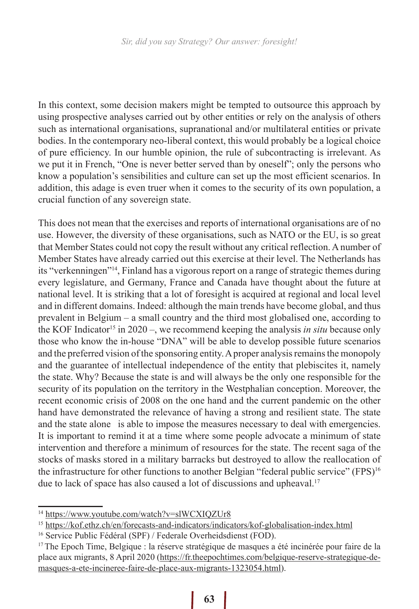In this context, some decision makers might be tempted to outsource this approach by using prospective analyses carried out by other entities or rely on the analysis of others such as international organisations, supranational and/or multilateral entities or private bodies. In the contemporary neo-liberal context, this would probably be a logical choice of pure efficiency. In our humble opinion, the rule of subcontracting is irrelevant. As we put it in French, "One is never better served than by oneself"; only the persons who know a population's sensibilities and culture can set up the most efficient scenarios. In addition, this adage is even truer when it comes to the security of its own population, a crucial function of any sovereign state.

This does not mean that the exercises and reports of international organisations are of no use. However, the diversity of these organisations, such as NATO or the EU, is so great that Member States could not copy the result without any critical reflection. A number of Member States have already carried out this exercise at their level. The Netherlands has its "verkenningen"14, Finland has a vigorous report on a range of strategic themes during every legislature, and Germany, France and Canada have thought about the future at national level. It is striking that a lot of foresight is acquired at regional and local level and in different domains. Indeed: although the main trends have become global, and thus prevalent in Belgium – a small country and the third most globalised one, according to the KOF Indicator<sup>15</sup> in 2020 –, we recommend keeping the analysis *in situ* because only those who know the in-house "DNA" will be able to develop possible future scenarios and the preferred vision of the sponsoring entity. A proper analysis remains the monopoly and the guarantee of intellectual independence of the entity that plebiscites it, namely the state. Why? Because the state is and will always be the only one responsible for the security of its population on the territory in the Westphalian conception. Moreover, the recent economic crisis of 2008 on the one hand and the current pandemic on the other hand have demonstrated the relevance of having a strong and resilient state. The state and the state alone is able to impose the measures necessary to deal with emergencies. It is important to remind it at a time where some people advocate a minimum of state intervention and therefore a minimum of resources for the state. The recent saga of the stocks of masks stored in a military barracks but destroyed to allow the reallocation of the infrastructure for other functions to another Belgian "federal public service" (FPS)<sup>16</sup> due to lack of space has also caused a lot of discussions and upheaval.<sup>17</sup>

<sup>14</sup> https://www.youtube.com/watch?v=slWCXIQZUr8

<sup>15</sup> https://kof.ethz.ch/en/forecasts-and-indicators/indicators/kof-globalisation-index.html

<sup>&</sup>lt;sup>16</sup> Service Public Fédéral (SPF) / Federale Overheidsdienst (FOD).

 $17$  The Epoch Time, Belgique : la réserve stratégique de masques a été incinérée pour faire de la place aux migrants, 8 April 2020 (https://fr.theepochtimes.com/belgique-reserve-strategique-demasques-a-ete-incineree-faire-de-place-aux-migrants-1323054.html).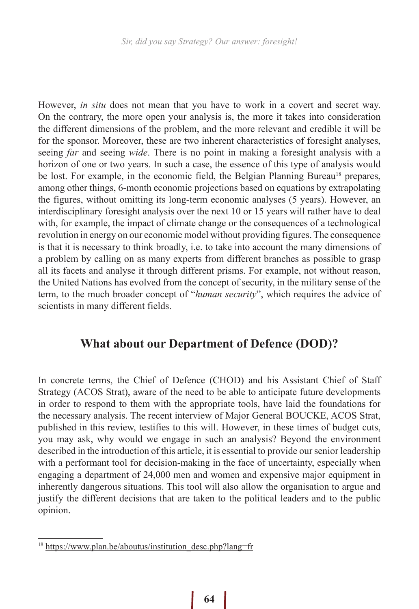However, *in situ* does not mean that you have to work in a covert and secret way. On the contrary, the more open your analysis is, the more it takes into consideration the different dimensions of the problem, and the more relevant and credible it will be for the sponsor. Moreover, these are two inherent characteristics of foresight analyses, seeing *far* and seeing *wide*. There is no point in making a foresight analysis with a horizon of one or two years. In such a case, the essence of this type of analysis would be lost. For example, in the economic field, the Belgian Planning Bureau<sup>18</sup> prepares, among other things, 6-month economic projections based on equations by extrapolating the figures, without omitting its long-term economic analyses (5 years). However, an interdisciplinary foresight analysis over the next 10 or 15 years will rather have to deal with, for example, the impact of climate change or the consequences of a technological revolution in energy on our economic model without providing figures. The consequence is that it is necessary to think broadly, i.e. to take into account the many dimensions of a problem by calling on as many experts from different branches as possible to grasp all its facets and analyse it through different prisms. For example, not without reason, the United Nations has evolved from the concept of security, in the military sense of the term, to the much broader concept of "*human security*", which requires the advice of scientists in many different fields.

## **What about our Department of Defence (DOD)?**

In concrete terms, the Chief of Defence (CHOD) and his Assistant Chief of Staff Strategy (ACOS Strat), aware of the need to be able to anticipate future developments in order to respond to them with the appropriate tools, have laid the foundations for the necessary analysis. The recent interview of Major General BOUCKE, ACOS Strat, published in this review, testifies to this will. However, in these times of budget cuts, you may ask, why would we engage in such an analysis? Beyond the environment described in the introduction of this article, it is essential to provide our senior leadership with a performant tool for decision-making in the face of uncertainty, especially when engaging a department of 24,000 men and women and expensive major equipment in inherently dangerous situations. This tool will also allow the organisation to argue and justify the different decisions that are taken to the political leaders and to the public opinion.

<sup>&</sup>lt;sup>18</sup> https://www.plan.be/aboutus/institution\_desc.php?lang=fr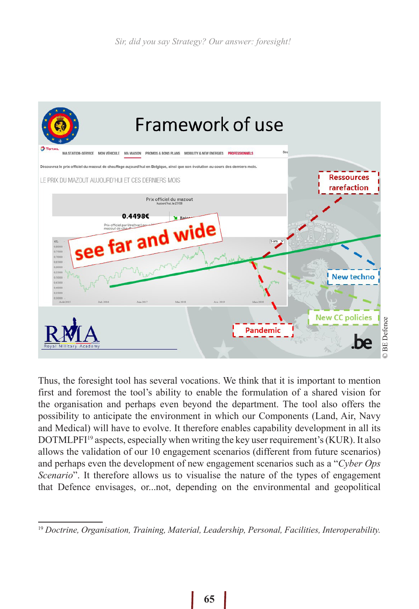

Thus, the foresight tool has several vocations. We think that it is important to mention first and foremost the tool's ability to enable the formulation of a shared vision for the organisation and perhaps even beyond the department. The tool also offers the possibility to anticipate the environment in which our Components (Land, Air, Navy and Medical) will have to evolve. It therefore enables capability development in all its DOTMLPFI19 aspects, especially when writing the key user requirement's (KUR). It also allows the validation of our 10 engagement scenarios (different from future scenarios) and perhaps even the development of new engagement scenarios such as a "*Cyber Ops Scenario*". It therefore allows us to visualise the nature of the types of engagement that Defence envisages, or...not, depending on the environmental and geopolitical

<sup>19</sup> *Doctrine, Organisation, Training, Material, Leadership, Personal, Facilities, Interoperability.*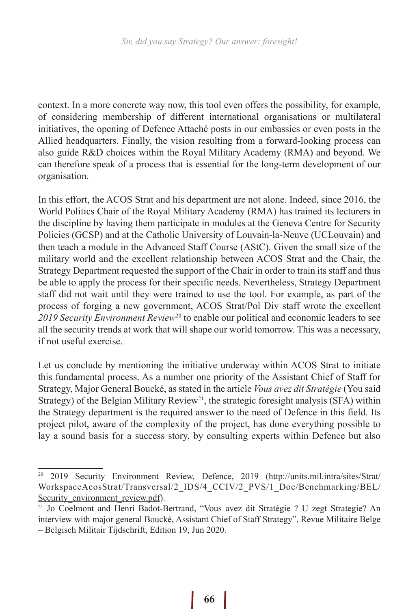context. In a more concrete way now, this tool even offers the possibility, for example, of considering membership of different international organisations or multilateral initiatives, the opening of Defence Attaché posts in our embassies or even posts in the Allied headquarters. Finally, the vision resulting from a forward-looking process can also guide R&D choices within the Royal Military Academy (RMA) and beyond. We can therefore speak of a process that is essential for the long-term development of our organisation.

In this effort, the ACOS Strat and his department are not alone. Indeed, since 2016, the World Politics Chair of the Royal Military Academy (RMA) has trained its lecturers in the discipline by having them participate in modules at the Geneva Centre for Security Policies (GCSP) and at the Catholic University of Louvain-la-Neuve (UCLouvain) and then teach a module in the Advanced Staff Course (AStC). Given the small size of the military world and the excellent relationship between ACOS Strat and the Chair, the Strategy Department requested the support of the Chair in order to train its staff and thus be able to apply the process for their specific needs. Nevertheless, Strategy Department staff did not wait until they were trained to use the tool. For example, as part of the process of forging a new government, ACOS Strat/Pol Div staff wrote the excellent *2019 Security Environment Review*<sup>20</sup> to enable our political and economic leaders to see all the security trends at work that will shape our world tomorrow. This was a necessary, if not useful exercise.

Let us conclude by mentioning the initiative underway within ACOS Strat to initiate this fundamental process. As a number one priority of the Assistant Chief of Staff for Strategy, Major General Boucké, as stated in the article *Vous avez dit Stratégie* (You said Strategy) of the Belgian Military Review<sup>21</sup>, the strategic foresight analysis (SFA) within the Strategy department is the required answer to the need of Defence in this field. Its project pilot, aware of the complexity of the project, has done everything possible to lay a sound basis for a success story, by consulting experts within Defence but also

<sup>20</sup> 2019 Security Environment Review, Defence, 2019 (http://units.mil.intra/sites/Strat/ WorkspaceAcosStrat/Transversal/2\_IDS/4\_CCIV/2\_PVS/1\_Doc/Benchmarking/BEL/ Security environment review.pdf).

<sup>21</sup> Jo Coelmont and Henri Badot-Bertrand, "Vous avez dit Stratégie ? U zegt Strategie? An interview with major general Boucké, Assistant Chief of Staff Strategy", Revue Militaire Belge – Belgisch Militair Tijdschrift, Edition 19, Jun 2020.